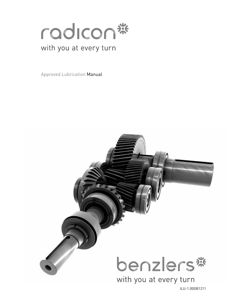

## with you at every turn

Approved Lubrication Manual



ILU-1.00GB1211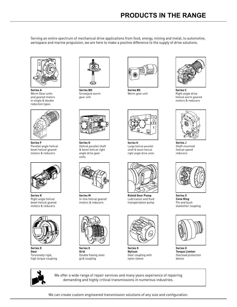Serving an entire spectrum of mechanical drive applications from food, energy, mining and metal; to automotive, aerospace and marine propulsion, we are here to make a positive difference to the supply of drive solutions.



**Series A** Worm Gear units and geared motors in single & double reduction types



**Series F** Parallel angle helical bevel helical geared motors & reducers



**Series K** Right angle helical bevel helical geared motors & reducers



**Series X Gear** Torsionally rigid, high torque coupling



**Series BD** Screwjack worm gear unit



**Series G** Helical parallel shaft & bevel helical right angle drive gear units



**Series M** In-line helical geared motors & reducers



**Series X Grid** Double flexing steel grid coupling



**Series BS** Worm gear unit

**Series H**

Large helical parallel shaft & bevel helical right angle drive units

**Roloid Gear Pump** Lubrication and fluid transportation pump

**Series X Nylicon** Gear coupling with nylon sleeve



Right angle drive helical worm geared motors & reducers



**Series J** Shaft mounted helical speed reducers



**Series X Cone Ring** Pin and bush elastomer coupling



**Series X Torque Limiter** Overload protection device



We offer a wide range of repair services and many years experience of repairing demanding and highly critical transmissions in numerous industries.

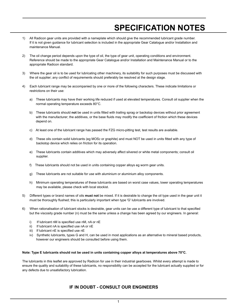## **SPECIFICATION NOTES**

- 1) All Radicon gear units are provided with a nameplate which should give the recommended lubricant grade number. If it is not given guidance for lubricant selection is included in the appropriate Gear Catalogue and/or Installation and maintenance Manual.
- 2) The oil change period depends upon the type of oil, the type of gear unit, operating conditions and environment. Reference should be made to the appropriate Gear Catalogue and/or Installation and Maintenance Manual or to the appropriate Radicon standard.
- 3) Where the gear oil is to be used for lubricating other machinery, its suitability for such purposes must be discussed with the oil supplier; any conflict of requirements should preferably be resolved at the design stage.
- 4) Each lubricant range may be accompanied by one or more of the following characters. These indicate limitations or restrictions on their use:
	- a) These lubricants may have their working life reduced if used at elevated temperatures. Consult oil supplier when the normal operating temperature exceeds 80°C.
	- b) These lubricants should **not** be used in units fitted with trailing sprag or backstop devices without prior agreement with the manufacturer; the additives, or the base fluids may modify the coefficient of friction which these devices depend on.
	- c) At least one of the lubricant range has passed the FZG micro-pitting test, test results are available.
	- d) These oils contain solid lubricants (eg MOS2 or graphite) and must NOT be used in units fitted with any type of backstop device which relies on friction for its operation.
	- e) These lubricants contain additives which may adversely affect silvered or white metal components; consult oil supplier.
	- f) These lubricants should not be used in units containing copper alloys eg worm gear units.
	- g) These lubricants are not suitable for use with aluminium or aluminium alloy components.
	- h) Minimum operating temperatures of these lubricants are based on worst case values, lower operating temperatures may be available, please check with local stockist.
- 5) Different types or brand names of oils **must not** be mixed. If it is desirable to change the oil type used in the gear unit it must be thoroughly flushed; this is particularly important when type 'G' lubricants are involved.
- 6) When rationalisation of lubricant stocks is desirable, gear units can be use a different type of lubricant to that specified but the viscosity grade number (n) must be the same unless a change has been agreed by our engineers. In general:
	- i) If lubricant nM is specified use nM, nA or nE
	- ii) If lubricant  $nA$  is specified use  $nA$  or  $nE$
	- iii) If lubricant nE is specified use nE
	- iv) Synthetic lubricants, types G and H, can be used in most applications as an alternative to mineral based products, however our engineers should be consulted before using them.

#### **Note: Type E lubricants should not be used in units containing copper alloys at temperatures above 70°C.**

The lubricants in this leaflet are approved by Radicon for use in their industrial gearboxes. Whilst every attempt is made to ensure the quality and suitability of these lubricants, no responsibility can be accepted for the lubricant actually supplied or for any defects due to unsatisfactory lubrication.

### **IF IN DOUBT - CONSULT OUR ENGINEERS**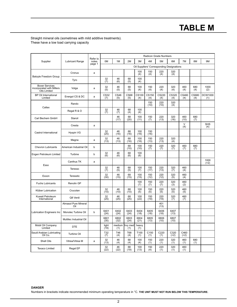## **TABLE M**

Straight mineral oils (sometimes with mild additive treatments). These have a low load carrying capacity

|                                                                    |                             |                   |                    |                    |                    |              |                         | <b>Radicon Grade Numbers</b>              |                   |                |              |                       |
|--------------------------------------------------------------------|-----------------------------|-------------------|--------------------|--------------------|--------------------|--------------|-------------------------|-------------------------------------------|-------------------|----------------|--------------|-----------------------|
| Supplier                                                           | <b>Lubricant Range</b>      | Refer to<br>notes | 0 <sub>M</sub>     | 1M                 | 2M                 | 3M           | 4M                      | 5M                                        | 6M                | 7M             | 8M           | 9M                    |
|                                                                    |                             | page 1            |                    |                    |                    |              |                         | Oil Suppliers' Corresponding Designations |                   |                |              |                       |
| <b>Batoyle Freedom Group</b>                                       | Cronus                      | a                 |                    |                    |                    | 100<br>(4)   | 150<br>(4)              | $^{220}_{(4)}$                            | $\frac{320}{(4)}$ |                |              |                       |
|                                                                    | Tyro                        |                   | 32<br>(7)          | 46<br>(6)          | 68<br>(5)          | 100<br>(4)   |                         |                                           |                   |                |              |                       |
| <b>Boxer Services</b><br>incorporated with Millers<br>Oils Limited | Volga                       | a                 | 32<br>(5)          | 46<br>(5)          | 68<br>(5)          | 100<br>(4)   | 150<br>(4)              | 220<br>(4)                                | 320<br>(4)        | 460<br>(4)     | 680<br>(4)   | 1000<br>(2)           |
| <b>BP Oil International</b><br>Limited                             | Energol CS & DC             | a                 | <b>CS32</b><br>(7) | <b>CS46</b><br>(5) | <b>CS68</b><br>(5) | CS100<br>(4) | CS150<br>(4)            | CS220<br>(4)                              | CS320<br>(4)      | CS460<br>(4)   | CS680<br>(4) | <b>DCW1000</b><br>(1) |
| Caltex                                                             | Rando                       |                   |                    |                    |                    |              | 150<br>(10)             | 220<br>(10)                               | 320<br>(4)        |                |              |                       |
|                                                                    | Regal R & O                 |                   | 32<br>(7)          | 46<br>(7)          | 68<br>(4)          | 100<br>(4)   |                         |                                           |                   |                |              |                       |
| Carl Bechem GmbH                                                   | Staroil                     |                   |                    | 46<br>(17)         | 68<br>(20)         | 100<br>(11)  | 150<br>(7)              | 220<br>(13)                               | 320<br>(16)       | 460<br>(10)    | 680<br>(7)   |                       |
|                                                                    | Cresta                      | a                 |                    |                    |                    |              |                         |                                           |                   | $\vee$<br>(4)  |              | <b>SHS</b><br>(4)     |
| Castrol International                                              | Hyspin VG                   |                   | 32<br>(25)         | 46<br>(16)         | 68<br>(16)         | 100<br>(16)  | 150<br>(16)             |                                           |                   |                |              |                       |
|                                                                    | Magna                       | a                 | 32<br>(13)         | 46<br>(13)         | 68<br>(16)         | 100<br>(16)  | 150<br>(13)             | 220<br>(13)                               | 320<br>(4)        |                |              |                       |
| <b>Chevron Lubricants</b>                                          | American Industrial Oil     | $\mathbf b$       |                    |                    | 68<br>(10)         | 100<br>(10)  | 150<br>(7)              | 220<br>(7)                                | 320<br>(7)        | 460<br>(7)     | 680<br>(7)   |                       |
| Engen Petroleum Limited                                            | Turbine                     | b                 | 32<br>(6)          | 46<br>(6)          | 68<br>(6)          | 100<br>(6)   |                         |                                           |                   |                |              |                       |
| Esso                                                               | Canthus TK                  | a                 |                    |                    |                    |              |                         |                                           |                   |                |              | 1000<br>$(+2)$        |
|                                                                    | Teresso                     |                   | 32<br>(7)          | 46<br>(5)          | 68<br>(5)          | 100<br>(7)   | 150<br>(17)             | 220<br>(13)                               | 320<br>(7)        | 460<br>(4)     |              |                       |
| Exxon                                                              | Teresstic                   |                   | 32<br>(30)         | 46<br>(15)         | 68<br>(15)         | 100<br>(15)  | 150<br>(12)             | 220<br>(12)                               | 320<br>(5)        | 460<br>(4)     |              |                       |
| <b>Fuchs Lubricants</b>                                            | Renolin GP                  |                   |                    |                    |                    | 100<br>(7)   | 150<br>(7)              | 220<br>(7)                                | 320<br>(3)        | 460<br>(2)     |              |                       |
| Klüber Lubrication                                                 | Crucolan                    |                   | 32<br>(10)         | 46<br>(10)         | 68<br>(10)         | 100<br>(5)   | 150<br>(5)              | 220<br>(5)                                | 320<br>(5)        | 460<br>(5)     |              |                       |
| Kuwait Petroleum<br>International                                  | Q8 Verdi                    |                   | 32<br>(25)         | 46<br>(25)         | 68<br>(25)         | 100<br>(22)  | 150<br>(19)             | 220<br>(19)                               | 320<br>(7)        | 460<br>(7)     |              |                       |
|                                                                    | Almasol Pure Mineral<br>Oil |                   |                    |                    |                    |              |                         | 401<br>(13)                               |                   |                |              |                       |
| <b>Lubrication Engineers Inc</b>                                   | Monolec Turbine Oil         | $\mathbf b$       | 6401<br>(24)       | 6402<br>(24)       | 6403<br>(24)       | 6404<br>(18) | 6405<br>(18)            | 6406<br>(18)                              | 6407<br>(13)      |                |              |                       |
|                                                                    | Multilec Industrial Oil     |                   | 6801<br>(35)       | 6802<br>(32)       | 6803<br>(24)       | 6804<br>(21) | 6805<br>(13)            | 6806<br>(10)                              | 6807<br>(10)      |                |              |                       |
| Mobil Oil Company<br>Limited                                       | <b>DTE</b>                  |                   | light<br>(19)      | medium<br>(1)      | hvy med<br>(1)     | heavy<br>(1) |                         |                                           |                   |                |              |                       |
| Saudi Arabian Lubricating<br>Oil Co.                               | <b>Turbine Oil</b>          |                   | T32<br>(7)         | T46<br>(4)         | <b>T68</b><br>(4)  | T100<br>(1)  | C <sub>150</sub><br>(1) | C220<br>(1)                               | C320<br>$(+2)$    | C460<br>$(+2)$ |              |                       |
| Shell Oils                                                         | Vitrea/Vitrea M             | a                 | $\frac{32}{(13)}$  | 46<br>(4)          | 68<br>(4)          | 100<br>(4)   | 150<br>(1)              | 220<br>(1)                                | 320<br>(1)        | 460<br>(1)     | 680<br>(1)   |                       |
| <b>Texaco Limited</b>                                              | Regal EP                    |                   | 32<br>(22)         | 46<br>(22)         | 68<br>(19)         | 100<br>(13)  | 150<br>(4)              | 220<br>(1)                                | 320<br>(1)        | 460<br>(1)     |              |                       |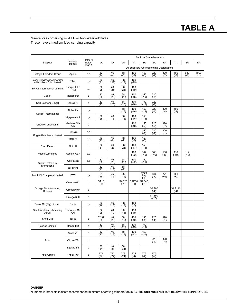## **TABLE A**

Mineral oils containing mild EP or Anti-Wear additives. These have a medium load carrying capacity

|                                                          |                           |                   |                    |                |                 |                 | Radicon Grade Numbers    |                     |                                           |                         |                |                |
|----------------------------------------------------------|---------------------------|-------------------|--------------------|----------------|-----------------|-----------------|--------------------------|---------------------|-------------------------------------------|-------------------------|----------------|----------------|
| Supplier                                                 | Lubricant<br>Range        | Refer to<br>notes | 0A                 | 1A             | 2A              | 3A              | 4A                       | 5A                  | 6A                                        | 7A                      | 8A             | <b>9A</b>      |
|                                                          |                           | page 1            |                    |                |                 |                 |                          |                     | Oil Suppliers' Corresponding Designations |                         |                |                |
| Batoyle Freedom Group                                    | Apollo                    | b,e               | 32<br>(24)         | 46<br>$(-4)$   | 68<br>$(-3)$    | 100<br>$(-3)$   | 150<br>$(-3)$            | 220<br>$(-2)$       | 320<br>$(-2)$                             | 460<br>$(-2)$           | 680<br>$(-1)$  | 1000<br>$(-1)$ |
| Boxer Services incorporated<br>with Millers Oils Limited | Tiber                     | b,e               | 32<br>(31)         | 46<br>$(-28)$  | 68<br>$(-28)$   | 100<br>$(-25)$  |                          |                     |                                           |                         |                |                |
| <b>BP Oil International Limited</b>                      | Energol HLP<br>. HM       | b,e               | 32<br>(25)         | 46<br>$(-25)$  | 68<br>$(-25)$   | 100<br>$(-19)$  |                          |                     |                                           |                         |                |                |
| Caltex                                                   | Rando HD                  | b                 | 32<br>(28)         | 46<br>$(-28)$  | 68<br>$(-25)$   | 100<br>$(-16)$  | 150<br>$(-10)$           | 220<br>$(-7)$       |                                           |                         |                |                |
| Carl Bechem GmbH                                         | Staroil Nr                | b                 | 32<br>(25)         | 46<br>$(-25)$  | 68<br>$(-25)$   | 100<br>$(-18)$  | 150<br>$(-18)$           | 220<br>$(-7)$       |                                           |                         |                |                |
| Castrol International                                    | Alpha ZN                  | b,e               |                    |                | 68<br>$(-16)$   | 100<br>$(-16)$  | 150<br>$(-16)$           | 220<br>$(-4)$       | 320<br>$(-4)$                             | 460<br>$(-4)$           |                |                |
|                                                          | <b>Hyspin AWS</b>         | b,e               | 32<br>(25)         | 46<br>$(-16)$  | 68<br>$(-16)$   | 100<br>$(-16)$  | 150<br>$(-16)$           |                     |                                           |                         |                |                |
| <b>Chevron Lubricants</b>                                | <b>Machine Oils</b><br>AW | b                 |                    |                |                 | 100<br>$(-10)$  | 150<br>$(-7)$            | 220<br>$(-7)$       | 320<br>$(-7)$                             |                         |                |                |
| Engen Petroleum Limited                                  | Gencirc                   | b,e               |                    |                |                 |                 | 150<br>$(-1)$            | 220<br>$(-1)$       | 320<br>$(-1)$                             |                         |                |                |
|                                                          | <b>TQH 20</b>             | b,e               | 32<br>(12)         | 46<br>$(-9)$   | 68<br>$(-9)$    | 100<br>$(-6)$   | 150<br>$(-6)$            |                     |                                           |                         |                |                |
| Esso/Exxon                                               | Nuto H                    | h                 | 32<br>(31)         | 46<br>$(-23)$  | 68<br>$(-21)$   | 100<br>$(-17)$  | 150<br>$(-15)$           |                     |                                           |                         |                |                |
| <b>Fuchs Lubricants</b>                                  | Renolin CLP               | b,e               |                    |                |                 | 103<br>$(-22)$  | 104<br>$(-19)$           | 106<br>(-16)        | 108<br>$(-10)$                            | 110<br>$(-10)$          | 112<br>$(-10)$ |                |
| Kuwait Petroleum                                         | Q8 Haydn                  | b,e               | 32<br>(25)         | 46<br>$(-25)$  | 68<br>$(-25)$   | 100<br>$(-22)$  | 150<br>$(-19)$           |                     |                                           |                         |                |                |
| International                                            | Q8 Holst                  |                   | 32<br>(13)         | 46<br>$(-13)$  | 68<br>$(-7)$    |                 |                          |                     |                                           |                         |                |                |
| Mobil Oil Company Limited                                | <b>DTE</b>                | b,e               | 24<br>(19)         | 25<br>$(-16)$  | 26<br>$(-16)$   |                 | extra<br>$hvy$<br>$(-7)$ | <b>BB</b><br>$(-7)$ | AA<br>$(+2)$                              | HH<br>$(+2)$            |                |                |
|                                                          | Omega 612                 | b                 | <b>SA10</b><br>(4) |                | SAE20<br>$(-4)$ | SAE30<br>$(-4)$ | SAE40<br>$(-4)$          |                     |                                           |                         |                |                |
| Omega Manufacturing<br><b>Division</b>                   | Omega 670                 | b                 |                    |                |                 |                 |                          | SAE90<br>$(-4)$     |                                           | <b>SAE140</b><br>$(-4)$ |                |                |
|                                                          | Omega 680                 | b                 |                    |                |                 |                 |                          | SAE90<br>$(-17)$    |                                           |                         |                |                |
| Sasol Oil (Pty) Limited                                  | <b>Rubis</b>              | b,e               | 32<br>(19)         | 46<br>$(-16)$  | 68<br>$(-13)$   | 100<br>$(-7)$   |                          |                     |                                           |                         |                |                |
| Saudi Arabian Lubricating<br>Oil Co.                     | Hydraulic Oil<br>AW       |                   | 32<br>(25)         | 46<br>$(-19)$  | 68<br>$(-16)$   | 100<br>$(-10)$  |                          |                     |                                           |                         |                |                |
| Shell Oils                                               | <b>Tellus</b>             | b                 | 32/37<br>(25)      | 46<br>$(-25)$  | 68<br>$(-19)$   | 100<br>$(-19)$  | 150<br>$(-1)$            | 220<br>$(-1)$       | 320<br>$(-1)$                             |                         |                |                |
| <b>Texaco Limited</b>                                    | Rando HD                  | b                 | 32<br>(25)         | 46<br>$(-25)$  | 68<br>$(-25)$   | 100<br>$(-13)$  | 150<br>$(-10)$           |                     |                                           |                         |                |                |
|                                                          | Azolla ZS                 | b                 | 32<br>(22)         | 46<br>$(-19)$  | 68<br>$(-16)$   | 100<br>$(-13)$  | 150<br>$(-10)$           |                     |                                           |                         |                |                |
| Total                                                    | Cirkan ZS                 | b                 |                    |                |                 |                 |                          | 220<br>$(-4)$       | 320<br>$(-4)$                             |                         |                |                |
|                                                          | Equivis ZS                | b                 | 32<br>(34)         | 46<br>$(-31)$  | 68<br>$(-31)$   |                 |                          |                     |                                           |                         |                |                |
| <b>Tribol GmbH</b>                                       | Tribol 770                | b                 | 771<br>(27)        | 772<br>$(-27)$ | 773<br>$(-24)$  | 775<br>$(-4)$   | 776<br>$(-4)$            | 779<br>$(-2)$       |                                           |                         |                |                |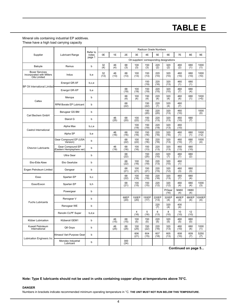## **TABLE E**

### Mineral oils containing industrial EP additives. These have a high load carrying capacity

|                                                                    |                                               | Refer to        |            |            |              |                        | Radicon Grade Numbers |               |                                           |              |              |                |
|--------------------------------------------------------------------|-----------------------------------------------|-----------------|------------|------------|--------------|------------------------|-----------------------|---------------|-------------------------------------------|--------------|--------------|----------------|
| Supplier                                                           | <b>Lubricant Range</b>                        | notes<br>page 1 | 0E         | 1E         | 2E           | 3E                     | 4E                    | 5E            | 6E                                        | 7E           | 8E           | 9E             |
|                                                                    |                                               |                 |            |            |              |                        |                       |               | Oil suppliers' corresponding designations |              |              |                |
| Batoyle                                                            | Remus                                         | b               | 32<br>(4)  | 46<br>(4)  | 68<br>(3)    | 100<br>(3)             | 150<br>(3)            | 220<br>(2)    | 320<br>(2)                                | 460<br>(2)   | 680<br>(1)   | 1000<br>(1)    |
| <b>Boxer Services</b><br>incorporated with Millers<br>Oils Limited | Indus                                         | b,e             | 32<br>(13) | 46<br>(13) | 68<br>(13)   | 100<br>(13)            | 150<br>(13)           | 220<br>(10)   | 320<br>(10)                               | 460<br>(10)  | 680<br>(10)  | 1000<br>(10)   |
| <b>BP Oil International Limited</b>                                | Energol GR-XF                                 | b,c,e           |            |            |              |                        | 150<br>(19)           | 220<br>(16)   | 320<br>(13)                               | 460<br>(1)   | 680<br>(1)   |                |
|                                                                    | Energol GR-XP                                 | b,e             |            |            | 68<br>(19)   | 100<br>(19)            | 150<br>(19)           | 220<br>(15)   | 320<br>(10)                               | 460<br>(7)   | 680<br>(4)   |                |
| Caltex                                                             | Meropa                                        | b               |            |            | 68<br>(4)    | 100<br>(4)             | 150<br>(4)            | 220<br>(4)    | 320<br>(4)                                | 460<br>(4)   | 680<br>(1)   | 1000<br>$(+5)$ |
|                                                                    | <b>RPM Borate EP Lubricant</b>                | b               |            |            | 68<br>(22)   |                        | 150<br>(22)           | 220<br>(7)    | 320<br>(4)                                | 460<br>(7)   |              |                |
| Carl Bechem GmbH                                                   | Berugear GS BM                                | b               |            |            |              |                        | 150<br>(20)           | 220<br>(20)   | 320<br>(13)                               | 460<br>(10)  |              | 1000<br>(0)    |
|                                                                    | Staroil G                                     | b               |            | 46<br>(25) | 68<br>(20)   | 100<br>(22)            | 150<br>(13)           | 220<br>(13)   | 320<br>(13)                               | 460<br>(10)  | 680<br>(7)   |                |
| Castrol International                                              | Alpha Max                                     | b,c,e           |            |            |              | 100<br>(19)            | 150<br>(19)           | 220<br>(19)   | 320<br>(13)                               | 460<br>(10)  |              |                |
|                                                                    | Alpha SP                                      | b,e             |            | 46<br>(16) | 68<br>(16)   | 100<br>(16)            | 150<br>(16)           | 220<br>(16)   | 320<br>(16)                               | 460<br>(1)   | 680<br>(1)   | 1000<br>$(+2)$ |
|                                                                    | Gear Compound EP (USA<br>Version)             | b               |            |            | 68<br>(22)   | 100<br>(22)            | 150<br>(16)           | 220<br>(16)   | 320<br>(13)                               | 460<br>(10)  | 680<br>(7)   | 1000<br>(4)    |
| <b>Chevron Lubricants</b>                                          | Gear Compound EP<br>(Eastern Hempisphere ver) | b               |            | 46<br>(19) | 68<br>(16)   | 100<br>(16)            | 150<br>(13)           | 220<br>(13)   | 320<br>(13)                               | 460<br>(13)  | 680<br>(10)  |                |
|                                                                    | <b>Ultra Gear</b>                             | b               |            |            | 68<br>(22)   |                        | 150<br>(25)           | 220<br>(10)   | 320<br>(7)                                | 460<br>(7)   | 680<br>(2)   |                |
| Eko-Elda Abee                                                      | Eko Gearlube                                  | b               |            |            | 68<br>(22)   | 100<br>(16)            | 150<br>(19)           | 220<br>(13)   | 320<br>(10)                               | 460<br>(1)   |              |                |
| Engen Petroleum Limited                                            | Gengear                                       | b               |            |            | 68<br>(21)   | 100<br>(21)            | 150<br>(21)           | 220<br>(15)   | 320<br>(12)                               | 460<br>(3)   | 680<br>(3)   |                |
| Esso                                                               | Spartan EP                                    | b,c             |            |            | 68<br>(22)   | 100<br>(16)            | 150<br>(19)           | 220<br>(16)   | 320<br>(13)                               | 460<br>(7)   | 680<br>(4)   |                |
| Esso/Exxon                                                         | Spartan EP                                    | b,h             |            |            | 68<br>(21)   | 100<br>(15)            | 150<br>(15)           | 220<br>(12)   | 320<br>(12)                               | 460<br>(4)   | 680<br>(4)   | 1000<br>(3)    |
|                                                                    | Powergear                                     | b               |            |            |              |                        |                       |               | P/Gear<br>(16)                            | M460<br>(4)  | H680<br>(4)  |                |
| <b>Fuchs Lubricants</b>                                            | Renogear V                                    | b               |            |            | 68EP<br>(20) | 100EP<br>(20)          | 150EP<br>(17)         | 220EP<br>(13) | 320EP<br>(4)                              | 460EP<br>(4) | 680EP<br>(4) | 1000EP<br>(4)  |
|                                                                    | Renogear WE                                   | b               |            |            |              |                        |                       | 220<br>(7)    | 320<br>(4)                                | 400<br>(4)   |              |                |
|                                                                    | Renolin CLPF Super                            | b,d,e           |            |            |              | $\overline{4}$<br>(16) | 5<br>(16)             | 6<br>(13)     | 8<br>(10)                                 | 10<br>(10)   | 12<br>(10)   |                |
| Klüber Lubrication                                                 | Klüberoil GEM1                                | b               |            | 46<br>(15) | 68<br>(15)   | 100<br>(5)             | 150<br>(5)            | 220<br>(5)    | 320<br>(5)                                | 460<br>(5)   | 680<br>(0)   |                |
| Kuwait Petroleum<br>International                                  | Q8 Goya                                       | b               |            | 46<br>(25) | 68<br>(25)   | 100<br>(25)            | 150<br>(22)           | 220<br>(16)   | 320<br>(13)                               | 460<br>(10)  | 680<br>(4)   | 1000<br>(1)    |
| <b>Lubrication Engineers Inc</b>                                   | Almasol Vari-Purpose Gear                     | b               |            |            |              | 606<br>(21)            | 604<br>(15)           | 607<br>(18)   | 605<br>(13)                               | 608<br>(10)  | 609<br>(7)   | 5250<br>(7)    |
|                                                                    | Monolec Industrial<br>Lubricant               | b               |            |            | 300<br>(24)  |                        |                       |               |                                           |              |              |                |

**Continued on page 5...**

**Note: Type E lubricants should not be used in units containing copper alloys at temperatures above 70°C.**

### **DANGER**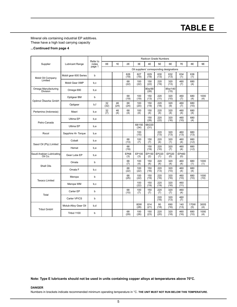## **TABLE E**

Mineral oils containing industrial EP additives. These have a high load carrying capacity

### **...Continued from page 4**

|                                      |                        |                   |            |            |                    |                |                | <b>Radicon Grade Numbers</b> |                                           |              |               |              |
|--------------------------------------|------------------------|-------------------|------------|------------|--------------------|----------------|----------------|------------------------------|-------------------------------------------|--------------|---------------|--------------|
| Supplier                             | <b>Lubricant Range</b> | Refer to<br>notes | 0E         | 1E         | 2E                 | 3E             | 4E             | 5E                           | 6E                                        | 7E           | 8E            | 9E           |
|                                      |                        | page 1            |            |            |                    |                |                |                              | Oil suppliers' corresponding designations |              |               |              |
| Mobil Oil Company                    | Mobil gear 600 Series  | b                 |            |            | 626<br>(19)        | 627<br>(19)    | 629<br>(19)    | 630<br>(13)                  | 632<br>(13)                               | 634<br>(1)   | 636<br>(1)    |              |
| Limited                              | Mobil Gear XMP         | b,c               |            |            | 68<br>(22)         | 100<br>(22)    | 150<br>(22)    | 220<br>(19)                  | 320<br>(13)                               | 460<br>(7)   | 680<br>(4)    |              |
| Omega Manufacturing<br>Division      | Omega 690              | b,e               |            |            |                    |                | 80w/90<br>(26) |                              | 85w/140<br>(15)                           |              |               |              |
| Optimol Ölwerke GmbH                 | Optigear BM            | b                 |            |            | 68<br>(19)         | 100<br>(19)    | 150<br>(13)    | 220<br>(11)                  | 320<br>(10)                               | 460<br>(7)   | 680<br>(4)    | 1000<br>(4)  |
|                                      | Optigear               | b,f               | 32<br>(32) | 46<br>(24) | 68<br>(24)         | 100<br>(20)    | 150<br>(19)    | 220<br>(18)                  | 320<br>(9)                                | 460<br>(7)   | 680<br>(10)   |              |
| Pertamina (Indonesia)                | Masri                  | b,e               | 32<br>(7)  | 46<br>(4)  | 68<br>(4)          | 100<br>(4)     | 150<br>(4)     | 220<br>(4)                   | 320<br>(4)                                | 460<br>(4)   | 680<br>(4)    |              |
| Petro-Canada                         | Ultima EP              | b,e               |            |            |                    |                | 150<br>(28)    | 220<br>(22)                  | 320<br>(16)                               | 460<br>(10)  | 680<br>(4)    |              |
|                                      | Ultima EP              | b,e               |            |            |                    | 68/150<br>(34) | 68/220<br>(31) |                              |                                           |              |               |              |
| Rocol                                | Sapphire Hi- Torque    | b,e               |            |            |                    | 100<br>(15)    |                | 220<br>(13)                  | 320<br>(13)                               | 460<br>(13)  | 680<br>(13)   |              |
| Sasol Oil (Pty) Limited              | Cobalt                 | b,e               |            |            | 68<br>(13)         | 100<br>(7)     | 150<br>(7)     | 220<br>(4)                   | 320<br>(1)                                | 460<br>(4)   | 680<br>$(+2)$ |              |
|                                      | Hemat                  | b,e               |            |            | 68<br>(19)         |                | 150<br>(19)    | 220<br>(10)                  | 320<br>(7)                                | 460<br>(4)   | 680<br>$(+2)$ |              |
| Saudi Arabian Lubricating<br>Oil Co. | Gear Lube EP           | b,e               |            |            | <b>EP68</b><br>(3) | EP100<br>(3)   | EP150<br>(2)   | EP220<br>(1)                 | EP320<br>(0)                              | EP460<br>(0) |               |              |
| Shell Oils                           | Omala                  | b                 |            |            | 68<br>(7)          | 100<br>(4)     | 150<br>(4)     | 220<br>(4)                   | 320<br>(4)                                | 460<br>(4)   | 680<br>(1)    | 1000<br>(1)  |
|                                      | Omala F                | b,c               |            |            | 68<br>(22)         | 100<br>(22)    | 150<br>(16)    | 220<br>(13)                  | 320<br>(10)                               | 460<br>(4)   | 680<br>(4)    |              |
| <b>Texaco Limited</b>                | Meropa                 | b                 |            |            | 68<br>(25)         | 100<br>(22)    | 150<br>(19)    | 220<br>(16)                  | 320<br>(16)                               | 460<br>(10)  | 680<br>(10)   | 1000<br>(10) |
|                                      | Meropa WM              | b,c               |            |            |                    | 100<br>(22)    | 150<br>(19)    | 220<br>(19)                  | 320<br>(16)                               | 460<br>(11)  |               |              |
| Total                                | Carter EP              | b                 |            |            | 68<br>(10)         | 100<br>(7)     | 150<br>(7)     | 220<br>(7)                   | 320<br>(7)                                | 460<br>(4)   |               |              |
|                                      | Carter VP/CS           | b                 |            |            |                    |                |                | 220<br>(16)                  | 320<br>(13)                               | 460<br>(7)   |               |              |
| <b>Tribol GmbH</b>                   | Molub-Alloy Gear Oil   | b,d               |            |            |                    | 80W<br>(28)    | 814<br>(21)    | 90<br>(18)                   | 690<br>(16)                               | 140<br>(13)  | 170W<br>(5)   | 300S<br>(4)  |
|                                      | Tribol 1100            | b                 |            |            | 68<br>(29)         | 100<br>(26)    | 150<br>(23)    | 220<br>(20)                  | 320<br>(18)                               | 460<br>(16)  | 680<br>(10)   | 1000<br>(4)  |

**Note: Type E lubricants should not be used in units containing copper alloys at temperatures above 70°C.**

### **DANGER**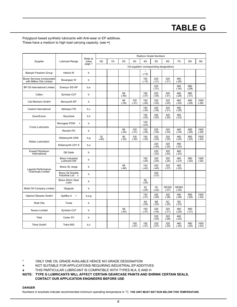# **TABLE G**

### Polyglycol based synthetic lubricants with Anti-wear or EP additives. These have a medium to high load carrying capacity. (see **+**)

|                                                          |                                                         |                   |               |    |               |                |                      | Radicon Grade Numbers |                                           |                         |                |                 |
|----------------------------------------------------------|---------------------------------------------------------|-------------------|---------------|----|---------------|----------------|----------------------|-----------------------|-------------------------------------------|-------------------------|----------------|-----------------|
| Supplier                                                 | <b>Lubricant Range</b>                                  | Refer to<br>notes | 0G            | 1G | 2G            | 3G             | 4G                   | 5G                    | 6G                                        | 7G                      | 8G             | 9G              |
|                                                          |                                                         | page 1            |               |    |               |                |                      |                       | Oil suppliers' corresponding designations |                         |                |                 |
| Batoyle Freedom Group                                    | <b>Helicol W</b>                                        | b                 |               |    |               |                | $(-15)$              |                       |                                           |                         |                |                 |
| Boxer Services incorporated<br>with Millers Oils Limited | Boxergear W                                             | b                 |               |    |               |                | 150<br>$(-15)$       | 220<br>$(-31)$        | 320<br>$(-31)$                            | 460<br>$(-28)$          |                |                 |
| BP Oil International Limited                             | Enersyn SG-XP                                           | b,e               |               |    |               |                |                      | 220<br>$(-31)$        |                                           | 460<br>$(-34)$          | 680<br>$(-28)$ |                 |
| Caltex                                                   | Synlube CLP                                             | b                 |               |    | 68<br>$(-40)$ |                | 150<br>$(-37)$       | 220<br>$(-34)$        | 320<br>$(-31)$                            | 460<br>$(-28)$          | 680<br>$(-31)$ |                 |
| Carl Bechem GmbH                                         | Berusynth EP                                            | b                 |               |    | 68<br>$(-35)$ | 100<br>$(-31)$ | 150<br>$(-26)$       | 220<br>$(-25)$        | 320<br>$(-25)$                            | 460<br>$(-25)$          | 680<br>$(-28)$ | 1000<br>$(-28)$ |
| Castrol International                                    | Alphasyn PG                                             | b,c               |               |    |               |                | 150<br>$(-34)$       | 220<br>$(-34)$        | 320<br>$(-31)$                            | 460<br>$(-28)$          |                |                 |
| Esso/Exxon                                               | Glycolube                                               | b,h               |               |    |               |                | 150<br>$(-25)$       | 220<br>$(-25)$        | 320<br>$(-25)$                            | 460<br>$(-23)$          |                |                 |
|                                                          | Renogear PGW<br>$\ddot{}$                               | b                 |               |    |               |                | 120<br>$(-23)$       |                       |                                           |                         |                |                 |
| <b>Fuchs Lubricants</b>                                  | Renolin PG                                              | b                 |               |    | 68<br>$(-34)$ | 100<br>$(-31)$ | 150<br>$(-34)$       | 220<br>$(-34)$        | 320<br>$(-34)$                            | 460<br>$(-34)$          | 680<br>$(-28)$ | 1000<br>$(-28)$ |
|                                                          | Klübersynth GH6                                         | b, q              | 32<br>$(-40)$ |    | 80<br>$(-30)$ | 100<br>$(-30)$ | 150<br>$(-30)$       | 220<br>$(-25)$        | 320<br>$(-25)$                            | 460<br>$(-20)$          | 680<br>$(-20)$ | 1000<br>$(-20)$ |
| Klüber Lubrication                                       | Klübersynth UH1 6                                       | b,e               |               |    |               |                |                      | 220<br>$(-30)$        | 320<br>$(-25)$                            | 460<br>$(-25)$          |                |                 |
| Kuwait Petroleum<br>International                        | Q8 Gade                                                 | b                 |               |    |               |                |                      | 220<br>$(-22)$        | 320<br>$(-22)$                            | 460<br>$(-22)$          |                |                 |
|                                                          | <b>Breox Industrial</b><br><b>Lubricant SW</b>          | b                 |               |    |               |                | 150<br>$(-25)$       | 220<br>$(-25)$        | 320<br>$(-25)$                            | 460<br>$(-23)$          | 680<br>$(-20)$ | 1000<br>$(-20)$ |
| Laporte Performance                                      | Breox SL range                                          | b                 |               |    | 68<br>$(-46)$ |                | 150<br>$(-42)$       | 220<br>$(-40)$        | 320<br>$(-37)$                            | 460<br>$(-35)$          |                |                 |
| <b>Chemicals Limited</b>                                 | <b>Breox Oil Soluble</b><br>Industrial Lub <sub>x</sub> | b                 |               |    |               |                |                      | 220<br>$(-23)$        |                                           |                         |                |                 |
|                                                          | <b>Breox Worm Gear</b><br>Lube                          | b                 |               |    |               |                | 65<br>$(-25)$        |                       |                                           |                         |                |                 |
| Mobil Oil Company Limited                                | Glygoyle                                                | b                 |               |    |               |                | 22<br>$(-25)$        | 30<br>$(-22)$         | <b>HE320</b><br>$(-37)$                   | <b>HE460</b><br>$(-35)$ |                |                 |
| Optimol Ölwerke GmbH                                     | Optiflex A<br>$+$                                       | b,e,g             |               |    |               |                | 150<br>$(-31)$       | 220<br>$(-28)$        | 320<br>$(-28)$                            | 460<br>$(-28)$          | 680<br>$(-28)$ | 1000<br>$(-25)$ |
| Shell Oils                                               | Tivela                                                  | b                 |               |    |               |                | <b>SA</b><br>$(-25)$ | <b>SB</b><br>$(-25)$  | SC<br>$(-25)$                             | <b>SD</b><br>$(-23)$    |                |                 |
| <b>Texaco Limited</b>                                    | Synlube CLP                                             | b                 |               |    | 68<br>$(-40)$ |                | 150<br>$(-37)$       | 220<br>$(-34)$        | 320<br>$(-31)$                            | 460<br>$(-28)$          | 680<br>$(-31)$ |                 |
| Total                                                    | Carter SY                                               | b                 |               |    |               |                |                      | 220<br>$(-25)$        | 320<br>$(-28)$                            | 460<br>$(-22)$          |                |                 |
| <b>Tribol GmbH</b>                                       | Tribol 800                                              | b.c               |               |    |               | 100<br>$(-37)$ | 150<br>$(-37)$       | 220<br>$(-27)$        | 320<br>$(-25)$                            | 460<br>$(-25)$          | 680<br>$(-25)$ | 1000<br>$(-23)$ |

ONLY ONE OIL GRADE AVAILABLE HENCE NO GRADE DESIGNATION

**+** NOT SUITABLE FOR APPLICATIONS REQUIRING INDUSTRIAL EP ADDITIVES

**x** THIS PARTICULAR LUBRICANT IS COMPATIBLE WITH TYPES M,A, E AND H

**NOTE: TYPE G LUBRICANTS WILL AFFECT CERTAIN GEARCASE PAINTS AND SHRINK CERTAIN SEALS, CONTACT OUR APPLICATION ENGINEERS BEFORE USE**

**DANGER**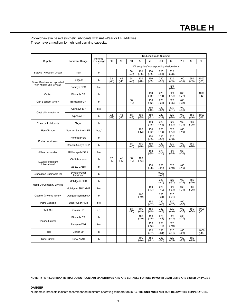## **TABLE H**

### Polyalphaolefin based synthetic lubricants with Anti-Wear or EP additives. These have a medium to high load carrying capacity.

|                             |                           | Refer to        |               |               |               |                |                | Radicon Grade Numbers                     |                |                |                |                 |
|-----------------------------|---------------------------|-----------------|---------------|---------------|---------------|----------------|----------------|-------------------------------------------|----------------|----------------|----------------|-----------------|
| Supplier                    | Lubricant Range           | notes page<br>1 | 0H            | 1H            | 2H            | 3H             | 4H             | 5H                                        | 6H             | 7H             | 8H             | 9H              |
|                             |                           |                 |               |               |               |                |                | Oil suppliers' corresponding designations |                |                |                |                 |
| Batoyle Freedom Group       | Titan                     | b               |               |               | 68<br>$(-40)$ | 100<br>$(-38)$ | 150<br>$(-35)$ | 220<br>$(-31)$                            | 320<br>$(-28)$ |                |                |                 |
| Boxer Services incorporated | Silkgear                  | b               | 32<br>$(-40)$ | 46<br>$(-40)$ | 68<br>$(-40)$ | 100<br>$(-40)$ | 150<br>$(-35)$ | 220<br>$(-35)$                            | 320<br>$(-35)$ | 460<br>$(-35)$ | 680<br>$(-35)$ | 1000<br>$(-35)$ |
| with Millers Oils Limited   | Enersyn EPX               | b,e             |               |               |               |                |                |                                           | 320<br>$(-28)$ |                |                |                 |
| Caltex                      | Pinnacle EP               | b               |               |               |               |                | 150<br>$(-45)$ | 220<br>$(-43)$                            | 320<br>$(-43)$ | 460<br>$(-37)$ |                | 1000<br>$(-30)$ |
| Carl Bechem GmbH            | Berusynth GP              | b               |               |               | 68<br>$(-49)$ |                | 150<br>$(-42)$ | 220<br>$(-38)$                            | 320<br>$(-35)$ | 460<br>$(-32)$ |                |                 |
| Castrol International       | Alphasyn EP               | b,c             |               |               |               |                | 150<br>$(-43)$ | 220<br>$(-37)$                            | 320<br>$(-31)$ | 460<br>$(-31)$ |                |                 |
|                             | Alphasyn T                | b               | 32<br>$(-49)$ | 46<br>$(-43)$ | 68<br>$(-43)$ | 100<br>$(-35)$ | 150<br>$(-31)$ | 220<br>$(-31)$                            | 320<br>$(-28)$ | 460<br>$(-28)$ | 680<br>$(-16)$ | 1000<br>$(-16)$ |
| <b>Chevron Lubricants</b>   | Tegra                     | b               |               |               |               |                | 150<br>$(-46)$ | 220<br>$(-46)$                            | 320<br>$(-33)$ | 460<br>$(-31)$ | 680<br>$(-25)$ |                 |
| Esso/Exxon                  | Spartan Synthetic EP      | b,e,f           |               |               |               | 100<br>$(-52)$ | 150<br>$(-49)$ | 220<br>$(-46)$                            | 320<br>$(-43)$ | 460<br>$(-40)$ |                |                 |
| <b>Fuchs Lubricants</b>     | Renogear SG               | b               |               |               |               |                | 150<br>$(-35)$ | 220<br>$(-32)$                            | 320<br>$(-30)$ |                |                |                 |
|                             | Renolin Unisyn CLP        | b               |               |               | 68<br>$(-46)$ | 100<br>$(-40)$ | 150<br>$(-40)$ | 220<br>$(-37)$                            | 320<br>$(-34)$ | 460<br>$(-28)$ | 680<br>$(-28)$ |                 |
| Klüber Lubrication          | Klübersynth EG 4          | b,e             |               |               |               |                | 150<br>$(-35)$ | 220<br>$(-30)$                            | 320<br>$(-25)$ | 460<br>$(-30)$ |                |                 |
| Kuwait Petroleum            | Q8 Schumann               | b               | 32<br>$(-49)$ | 46<br>$(-49)$ | 68<br>$(-49)$ | 100<br>$(-43)$ |                |                                           |                |                |                |                 |
| International               | Q8 EL Greco               | b               |               |               |               |                | 150<br>$(-28)$ | 220<br>$(-22)$                            | 320<br>$(-19)$ | 460<br>$(-16)$ |                |                 |
| Lubrication Engineers Inc   | Synolec Gear<br>Lubricant | b               |               |               |               |                |                | 9920<br>$(-40)$                           |                |                |                |                 |
| Mobil Oil Company Limited   | Mobilgear SHC             | b               |               |               |               |                |                | 220<br>$(-40)$                            | 320<br>$(-37)$ | 460<br>$(-32)$ | 680<br>$(-29)$ |                 |
|                             | Mobilgear SHC XMP         | b,c             |               |               |               |                | 150<br>$(-43)$ | 220<br>$(-40)$                            | 320<br>$(-33)$ | 460<br>$(-31)$ | 680<br>$(-25)$ |                 |
| Optimol Ölwerke GmbH        | Optigear Synthetic A      | b               |               |               |               | 100<br>$(-40)$ |                | 220<br>$(-31)$                            | 320<br>$(-31)$ |                |                |                 |
| Petro-Canada                | Super Gear Fluid          | b,e             |               |               |               |                | 150<br>$(-37)$ | 220<br>$(-43)$                            | 320<br>$(-37)$ | 460<br>$(-37)$ |                |                 |
| Shell Oils                  | Omala HD                  | b, c, f         |               |               | 68<br>$(-55)$ | 100<br>$(-49)$ | 150<br>$(-49)$ | 220<br>$(-43)$                            | 320<br>$(-40)$ | 460<br>$(-37)$ | 680<br>$(-34)$ | 1000<br>$(-31)$ |
|                             | Pinnacle EP               | b               |               |               |               | 100<br>$(-49)$ | 150<br>$(-45)$ | 220<br>$(-43)$                            | 320<br>$(-43)$ | 460<br>$(-37)$ |                |                 |
| <b>Texaco Limited</b>       | Pinnacle WM               | b,c             |               |               |               |                | 150<br>$(-43)$ | 220<br>$(-43)$                            | 320<br>$(-40)$ |                |                |                 |
| Total                       | Carter SP                 | b               |               |               |               |                | 150<br>$(-37)$ | 220<br>$(-34)$                            | 320<br>$(-31)$ | 460<br>$(-28)$ |                | 1000<br>$(-13)$ |
| <b>Tribol GmbH</b>          | Tribol 1510               | b               |               |               |               | 100<br>$(-44)$ | 150<br>$(-41)$ | 220<br>$(-36)$                            | 320<br>$(-33)$ | 460<br>$(-28)$ | 680<br>$(-25)$ |                 |

**NOTE: TYPE H LUBRICANTS THAT DO NOT CONTAIN EP ADDITIVES AND ARE SUITABLE FOR USE IN WORM GEAR UNITS ARE LISTED ON PAGE 8**

### **DANGER**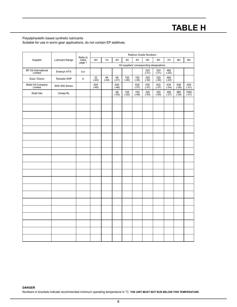## **TABLE H**

### Polyalphaolefin based synthetic lubricants

Suitable for use in worm gear applications, do not contain EP additives.

|                                        |                        |                             |                |                 |                |                |                | Radicon Grade Numbers |                                           |                  |                |                 |
|----------------------------------------|------------------------|-----------------------------|----------------|-----------------|----------------|----------------|----------------|-----------------------|-------------------------------------------|------------------|----------------|-----------------|
| Supplier                               | <b>Lubricant Range</b> | Refer to<br>notes<br>page 1 | 0H             | 1H              | 2H             | 3H             | 4H             | 5H                    | 6H                                        | 7H               | 8H             | 9H              |
|                                        |                        |                             |                |                 |                |                |                |                       | Oil suppliers' corresponding designations |                  |                |                 |
| <b>BP Oil International</b><br>Limited | Enersyn HTX            | b,e                         |                |                 |                |                |                | 220<br>$(-31)$        | 320<br>$(-31)$                            | 460<br>$(-25)$   |                |                 |
| Esso / Exxon                           | Teresstic SHP          | b                           | 32<br>$(-44)$  | $^{46}_{(-44)}$ | $68$<br>(-41)  | $100$<br>(-40) | 150<br>(.34)   | $220$<br>(-32)        | $320$<br>(-30)                            | $460$<br>(-22)   |                |                 |
| Mobil Oil Company<br>Limited           | SHC 600 Series         |                             | 624<br>$(-49)$ |                 | 626<br>$(-46)$ |                | $629$<br>(-37) | $630$<br>$(-37)$      | 632<br>$(-37)$                            | $634$<br>$(-34)$ | $636$<br>(-29) | $639$<br>(-31)  |
| Shell Oils                             | Omala RL               |                             |                |                 | 68<br>$(-55)$  | 100<br>$(-52)$ | 150<br>$(-49)$ | 220<br>$(-43)$        | 320<br>$(-40)$                            | 460<br>$(-37)$   | 680<br>$(-34)$ | 1000<br>$(-31)$ |
|                                        |                        |                             |                |                 |                |                |                |                       |                                           |                  |                |                 |
|                                        |                        |                             |                |                 |                |                |                |                       |                                           |                  |                |                 |
|                                        |                        |                             |                |                 |                |                |                |                       |                                           |                  |                |                 |
|                                        |                        |                             |                |                 |                |                |                |                       |                                           |                  |                |                 |
|                                        |                        |                             |                |                 |                |                |                |                       |                                           |                  |                |                 |
|                                        |                        |                             |                |                 |                |                |                |                       |                                           |                  |                |                 |
|                                        |                        |                             |                |                 |                |                |                |                       |                                           |                  |                |                 |
|                                        |                        |                             |                |                 |                |                |                |                       |                                           |                  |                |                 |
|                                        |                        |                             |                |                 |                |                |                |                       |                                           |                  |                |                 |
|                                        |                        |                             |                |                 |                |                |                |                       |                                           |                  |                |                 |
|                                        |                        |                             |                |                 |                |                |                |                       |                                           |                  |                |                 |
|                                        |                        |                             |                |                 |                |                |                |                       |                                           |                  |                |                 |
|                                        |                        |                             |                |                 |                |                |                |                       |                                           |                  |                |                 |
|                                        |                        |                             |                |                 |                |                |                |                       |                                           |                  |                |                 |
|                                        |                        |                             |                |                 |                |                |                |                       |                                           |                  |                |                 |
|                                        |                        |                             |                |                 |                |                |                |                       |                                           |                  |                |                 |
|                                        |                        |                             |                |                 |                |                |                |                       |                                           |                  |                |                 |
|                                        |                        |                             |                |                 |                |                |                |                       |                                           |                  |                |                 |
|                                        |                        |                             |                |                 |                |                |                |                       |                                           |                  |                |                 |
|                                        |                        |                             |                |                 |                |                |                |                       |                                           |                  |                |                 |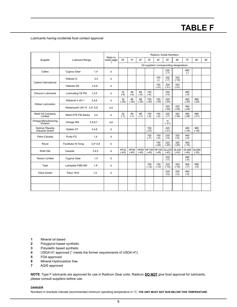## **TABLE F**

Lubricants having incidental food contact approval

|                                   |                            |         | Refer to        |                        |                        |                        |                         |                         | Radicon Grade Numbers |                                           |                  |                  |    |
|-----------------------------------|----------------------------|---------|-----------------|------------------------|------------------------|------------------------|-------------------------|-------------------------|-----------------------|-------------------------------------------|------------------|------------------|----|
| Supplier                          | <b>Lubricant Range</b>     |         | notes page<br>1 | 0F                     | 1F                     | 2F                     | 3F                      | 4F                      | 5F                    | 6F                                        | 7F               | 8F               | 9F |
|                                   |                            |         |                 |                        |                        |                        |                         |                         |                       | Oil suppliers' corresponding designations |                  |                  |    |
| Caltex                            | Cygnus Gear                | 1.4     | b               |                        |                        |                        |                         |                         | 220<br>$(-7)$         |                                           | 460<br>$(-)$     |                  |    |
| Castrol International             | Vitalube G                 | 3,4     | b               |                        |                        |                        |                         | 150<br>$(-)$            | 220<br>$(-7)$         | 320<br>$(-10)$                            |                  |                  |    |
|                                   | <b>Vitalube GS</b>         | 3,4,6   | b               |                        |                        |                        |                         | 150<br>$(-31)$          | 220<br>$(-31)$        | 320<br>$(-31)$                            |                  |                  |    |
| Chevron Lubricants                | Lubricating Oil FM         | 1,4,5   | b               | 32<br>$(-4)$           | 46<br>$(-4)$           | 68<br>$(-4)$           | 100<br>$(-4)$           |                         | 220<br>$(-4)$         |                                           | 460<br>$(-4)$    |                  |    |
| Klüber Lubrication                | Klüberoil 4 UH 1           | 3,4,6   | b               | 32<br>$(-30)$          | 46<br>$(-30)$          | 68<br>$(-30)$          | 100<br>$(-30)$          | 150<br>$(-30)$          | 220<br>$(-30)$        |                                           | 460<br>$(-30)$   | 680<br>$(-25)$   |    |
|                                   | Klübersynth UH1 6 2,4*,5,6 |         | e,b             |                        |                        |                        |                         |                         | 220<br>$(-30)$        | 320<br>$(-25)$                            | 460<br>$(-25)$   |                  |    |
| Mobil Oil Company<br>Limited      | Mobil DTE FM Series        | 3,4     | b               | 32<br>$(-1)$           | 46<br>$(-1)$           | 68<br>$(-1)$           | 100<br>$(-4)$           | 150<br>$(-4)$           | 220<br>$(-7)$         | 320<br>$(-34)$                            | 460<br>$(-28)$   | 680<br>$(-31)$   |    |
| Omega Manufacturing<br>Division   | Omega 585                  | 3,5,6,7 | a,b             |                        |                        |                        |                         |                         | H<br>$(-31)$          |                                           |                  |                  |    |
| Optimol Ölwerke<br>Industrie GmbH | Optileb GT                 | 3,4,6   | b               |                        |                        |                        | 100<br>$(-37)$          |                         | 220<br>$(-31)$        |                                           | 460<br>$(-16)$   | 680<br>$(-16)$   |    |
| Petro-Canada                      | Purity FG                  | 1,4     | b               |                        |                        |                        | 100<br>$(-7)$           | 150<br>$(-4)$           | 220<br>$(-4)$         | 320<br>$(-4)$                             | 460<br>$(-4)$    |                  |    |
| Rocol                             | Foodlube Hi-Torqu          | 3,4,5,6 | b               |                        |                        |                        |                         | 150<br>$(-25)$          | 220<br>$(-25)$        | 320<br>$(-25)$                            | 460<br>$(-15)$   |                  |    |
| Shell Oils                        | Cassida                    | 3,4,5   | b               | <b>HF32</b><br>$(-45)$ | <b>HF46</b><br>$(-45)$ | <b>HF68</b><br>$(-45)$ | <b>HF100</b><br>$(-45)$ | <b>HF150</b><br>$(-45)$ | GL220<br>$(-43)$      | GL320<br>$(-43)$                          | GL460<br>$(-40)$ | GL680<br>$(-35)$ |    |
| <b>Texaco Limited</b>             | Cygnus Gear                | 1,4     | b               |                        |                        |                        |                         |                         | 220<br>$(-7)$         |                                           | 460<br>$(-5)$    |                  |    |
| Total                             | Lubriplate FMD AW          | $1.4*$  | b               |                        |                        |                        | 100<br>$(-12)$          | 150<br>$(-12)$          | 220<br>$(-10)$        | 320<br>$(-10)$                            | 460<br>$(-7)$    | 680<br>$(-4)$    |    |
| <b>Tribol GmbH</b>                | Tribol 1810                | 1,4     | b               |                        |                        |                        |                         |                         | 220<br>$(-5)$         | 320<br>$(-5)$                             | 460<br>$(-5)$    |                  |    |
|                                   |                            |         |                 |                        |                        |                        |                         |                         |                       |                                           |                  |                  |    |
|                                   |                            |         |                 |                        |                        |                        |                         |                         |                       |                                           |                  |                  |    |

- **1** Mineral oil based
- **2** Polyglycol based synthetic
- **3** Polyolefin based synthetic
- 4 USDA H1 approved (\* meets the former requirements of USDA H1)
- **5** FDA approved
- **6** Mineral Hydrocarbon free
- **7** AQIS approved

**NOTE**: Type F lubricants are approved for use in Radicon Gear units. Radicon **DO NOT** give food approval for lubricants, please consult suppliers before use.

#### **DANGER**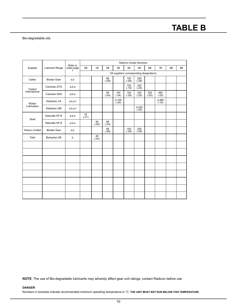## **TABLE B**

### Bio-degradable oils

|                       |                        |                 | Radicon Grade Numbers<br>Refer to<br>0B<br>1B<br>2B<br>3B<br>4B<br>5B<br>6B<br>7B<br><b>9B</b><br>8B |               |               |                                           |                |                      |                |                      |  |  |
|-----------------------|------------------------|-----------------|------------------------------------------------------------------------------------------------------|---------------|---------------|-------------------------------------------|----------------|----------------------|----------------|----------------------|--|--|
| Supplier              | <b>Lubricant Range</b> | notes page<br>1 |                                                                                                      |               |               |                                           |                |                      |                |                      |  |  |
|                       |                        |                 |                                                                                                      |               |               | Oil suppliers' corresponding designations |                |                      |                |                      |  |  |
| Caltex                | <b>Biostar Gear</b>    | a,b             |                                                                                                      |               | 68<br>$(-28)$ |                                           | 150<br>$(-28)$ | 220<br>$(-28)$       |                |                      |  |  |
| Castrol               | Carelube GTG           | a,b,e           |                                                                                                      |               |               |                                           | 150<br>$(-19)$ | 220<br>$(-25)$       |                |                      |  |  |
| International         | Carelube GES           | a,b,e           |                                                                                                      |               | 68<br>$(-34)$ | 100<br>$(-34)$                            | 150<br>$(-28)$ | 220<br>$(-25)$       | 320<br>$(-25)$ | 460<br>$(-25)$       |  |  |
| Klüber                | Klüberbio CA           | a,b,e,f         |                                                                                                      |               |               | $2 - 100$<br>$(-30)$                      |                |                      |                | $2 - 460$<br>$(-15)$ |  |  |
| Lubrication           | Klüberbio GM           | a,b,e,f         |                                                                                                      |               |               |                                           |                | $2 - 220$<br>$(-20)$ |                |                      |  |  |
| Shell                 | Naturelle HF-R         | a,b,e           | 32<br>$(-31)$                                                                                        |               |               |                                           |                |                      |                |                      |  |  |
|                       | Naturelle HF-E         | a,b,e           |                                                                                                      | 46<br>$(-45)$ | 68<br>$(-34)$ |                                           |                |                      |                |                      |  |  |
| <b>Texaco Limited</b> | <b>Biostar Gear</b>    | a,b             |                                                                                                      |               | 68<br>$(-28)$ |                                           | 150<br>$(-28)$ | 220<br>$(-28)$       |                |                      |  |  |
| Total                 | Biohydran SE           | b               |                                                                                                      | 46<br>$(-43)$ |               |                                           |                |                      |                |                      |  |  |
|                       |                        |                 |                                                                                                      |               |               |                                           |                |                      |                |                      |  |  |
|                       |                        |                 |                                                                                                      |               |               |                                           |                |                      |                |                      |  |  |
|                       |                        |                 |                                                                                                      |               |               |                                           |                |                      |                |                      |  |  |
|                       |                        |                 |                                                                                                      |               |               |                                           |                |                      |                |                      |  |  |
|                       |                        |                 |                                                                                                      |               |               |                                           |                |                      |                |                      |  |  |
|                       |                        |                 |                                                                                                      |               |               |                                           |                |                      |                |                      |  |  |
|                       |                        |                 |                                                                                                      |               |               |                                           |                |                      |                |                      |  |  |
|                       |                        |                 |                                                                                                      |               |               |                                           |                |                      |                |                      |  |  |

**NOTE**: The use of Bio-degradable lubricants may adversly affect gear unit ratings, contact Radicon before use

### **DANGER**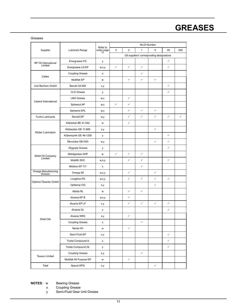# **GREASES**

### Greases

|                                 |                         |                              |              |                | <b>NLGI Number</b> |                                           |              |              |
|---------------------------------|-------------------------|------------------------------|--------------|----------------|--------------------|-------------------------------------------|--------------|--------------|
| Supplier                        | Lubricant Range         | Refer to<br>notes page<br>11 | 3            | $\overline{2}$ | $\mathbf{1}$       | $\Omega$                                  | 00           | 000          |
|                                 |                         |                              |              |                |                    | Oil suppliers' corresponding designations |              |              |
| BP Oil International            | Energrease FG           | у                            |              |                |                    |                                           | $\checkmark$ |              |
| Limited                         | Energrease LS-EP        | w,x,y                        | $\checkmark$ | $\checkmark$   | $\checkmark$       |                                           | ✓            |              |
| Caltex                          | <b>Coupling Grease</b>  | x                            |              |                | $\checkmark$       |                                           |              |              |
|                                 | Multifak EP             | W                            |              | $\checkmark$   | $\checkmark$       | $\checkmark$                              |              |              |
| Carl Bechem GmbH                | Berulit GA 800          | x,y                          |              |                |                    |                                           | ✓            |              |
|                                 | CLS Grease              | у                            |              |                |                    |                                           | $\checkmark$ |              |
|                                 | <b>LMX Grease</b>       | w,x                          |              | $\checkmark$   |                    |                                           |              |              |
| Castrol International           | Spheerol AP             | W,X                          | $\checkmark$ | ✓              |                    |                                           |              |              |
|                                 | Spheerol EPL            | W,X                          |              | $\checkmark$   | $\checkmark$       | $\checkmark$                              |              |              |
| <b>Fuchs Lubricants</b>         | Renolit EP              | w,y                          |              | $\checkmark$   | $\checkmark$       | $\checkmark$                              | $\checkmark$ | $\checkmark$ |
|                                 | Klüberlub BE 41-542     | W                            |              | ✓              |                    |                                           |              |              |
|                                 | Klüberplex GE 11-680    | x,y                          |              |                |                    | $\checkmark$                              |              |              |
| Klüber Lubrication              | Klübersynth GE 46-1200  | у                            |              |                |                    |                                           | $\checkmark$ |              |
|                                 | Microlube GB 0/00       | w,y                          |              |                |                    | $\checkmark$                              | ✓            |              |
|                                 | Glygoyle Grease         | у                            |              |                |                    |                                           | ✓            |              |
|                                 | Mobilgrease XHP         | W                            | $\checkmark$ | $\checkmark$   | $\checkmark$       |                                           |              |              |
| Mobil Oil Company<br>Limited    | Mobilth SHC             | w,x,y                        |              | $\checkmark$   | $\checkmark$       |                                           | $\checkmark$ |              |
|                                 | Mobilux EP 111          | x                            |              |                | $\checkmark$       |                                           |              |              |
| Omega Manufacturing<br>Division | Omega 85                | w,x,y                        |              | $\checkmark$   |                    | $\checkmark$                              |              |              |
|                                 | Longtime PD             | w,x,y                        |              | $\checkmark$   | $\checkmark$       | $\checkmark$                              | $\checkmark$ |              |
| Optimol Ölwerke GmbH            | Optitemp OG             | x,y                          |              |                |                    | $\checkmark$                              |              |              |
|                                 | Albida RL               | W                            |              | $\checkmark$   | $\checkmark$       |                                           |              |              |
|                                 | Alvania EP B            | w,x,y                        |              | ✓              |                    |                                           |              |              |
|                                 | Alvania EP LF           | x,y                          |              | $\checkmark$   | $\checkmark$       | $\checkmark$                              | $\checkmark$ |              |
|                                 | Alvania GL              | у                            |              |                |                    |                                           | ✓            |              |
|                                 | Alvania WR2             | x,y                          |              | ✓              |                    |                                           |              |              |
| Shell Oils                      | <b>Coupling Grease</b>  | $\pmb{\mathsf{x}}$           |              |                | $\checkmark$       |                                           |              |              |
|                                 | Nerita HV               | W                            |              | $\checkmark$   |                    |                                           |              |              |
|                                 | Semi Fluid EP           | x,y                          |              |                |                    |                                           | $\checkmark$ |              |
|                                 | Tivela Compound A       | у                            |              |                |                    |                                           | $\checkmark$ |              |
|                                 | Tivela Compound GL      | у                            |              |                |                    |                                           | $\checkmark$ |              |
|                                 | Coupling Grease         | x,y                          |              |                | $\checkmark$       |                                           |              |              |
| Texaco Limited                  | Multifak All Purpose EP | W                            |              | $\checkmark$   |                    |                                           |              |              |
| Total                           | Specis EPG              | x,y                          |              |                |                    | $\checkmark$                              |              |              |

**NOTES**: w Bearing Grease

x Coupling Grease

y Semi-Fluid Gear Unit Grease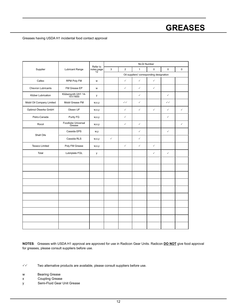# **GREASES**

### Greases having USDA H1 incidental food contact approval

|                           |                                 |                        |              |                | <b>NLGI Number</b>                       |              |              |              |
|---------------------------|---------------------------------|------------------------|--------------|----------------|------------------------------------------|--------------|--------------|--------------|
| Supplier                  | <b>Lubricant Range</b>          | Refer to<br>notes page | 3            | $\overline{2}$ | $\mathbf{1}$                             | $\Omega$     | $\Omega$     | $\Omega$     |
|                           |                                 |                        |              |                | Oil suppliers' corresponding designation |              |              |              |
| Caltex                    | RPM Poly FM                     | W                      |              | $\checkmark$   | $\checkmark$                             | $\checkmark$ |              |              |
| Chevron Lubricants        | FM Grease EP                    | W                      |              | $\checkmark$   | $\checkmark$                             | $\checkmark$ |              |              |
| Klüber Lubrication        | Klübersynth UH1 14-<br>151/1600 | у                      |              |                | $\checkmark$                             |              | $\checkmark$ |              |
| Mobil Oil Company Limited | Mobil Grease FM                 | w,x,y                  |              | $\checkmark$   | $\checkmark$                             |              | $\checkmark$ |              |
| Optimol Ölwerke GmbH      | Obeen UF                        | w,x,y                  |              | $\checkmark$   | $\checkmark$                             | $\checkmark$ | $\checkmark$ | $\checkmark$ |
| Petro-Canada              | Purity FG                       | w,x,y                  |              | $\checkmark$   |                                          |              | $\checkmark$ |              |
| Rocol                     | Foodlube Universal<br>Grease    | w,x,y                  |              | $\checkmark$   | $\checkmark$                             |              |              | $\checkmark$ |
|                           | Cassida EPS                     | w,y                    |              |                | $\checkmark$                             |              | $\checkmark$ |              |
| Shell Oils                | Cassida RLS                     | W, X, Y                | $\checkmark$ |                | $\checkmark$                             |              |              |              |
| <b>Texaco Limited</b>     | Poly FM Grease                  | w, x, y                |              | $\checkmark$   | $\checkmark$                             | $\checkmark$ |              |              |
| Total                     | Lubriplate FGL                  | y                      |              |                |                                          | $\checkmark$ | $\checkmark$ |              |
|                           |                                 |                        |              |                |                                          |              |              |              |
|                           |                                 |                        |              |                |                                          |              |              |              |
|                           |                                 |                        |              |                |                                          |              |              |              |
|                           |                                 |                        |              |                |                                          |              |              |              |
|                           |                                 |                        |              |                |                                          |              |              |              |
|                           |                                 |                        |              |                |                                          |              |              |              |
|                           |                                 |                        |              |                |                                          |              |              |              |
|                           |                                 |                        |              |                |                                          |              |              |              |
|                           |                                 |                        |              |                |                                          |              |              |              |
|                           |                                 |                        |              |                |                                          |              |              |              |

**NOTES**: Greases with USDA H1 approval are approved for use in Radicon Gear Units. Radicon **DO NOT** give food approval for greases, please consult suppliers before use.

- $\checkmark$  Two alternative products are available, please consult suppliers before use.
- w Bearing Grease
- x Coupling Grease
- y Semi-Fluid Gear Unit Grease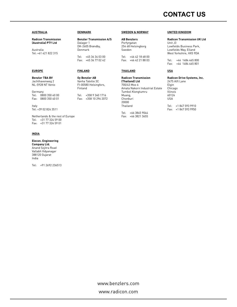#### **AUSTRALIA**

**Radicon Transmission (Australia) PTY Ltd** 

Australia Tel: +61 421 822 315

#### **EUROPE**

**Benzler TBA BV** Jachthavenweg 2 NL-5928 NT Venlo

Germany Tel: 0800 350 40 00 Fax: 0800 350 40 01

Italy Tel: +39 02 824 3511

Netherlands & the rest of Europe Tel: +31 77 324 59 00 Fax: +31 77 324 59 01

#### **INDIA**

**Elecon. Engineering Company Ltd.**

Anand Sojitra Road Vallabh Vidyanagar 388120 Gujarat India

Tel: +91 2692 236513

#### **DENMARK**

**Benzler Transmission A/S** Dalager 1 DK-2605 Brøndby, Denmark

Tel: +45 36 34 03 00 Fax: +45 36 77 02 42

#### **FINLAND**

**Oy Benzler AB** Vanha Talvitie 3C FI-00580 Helsingfors, Finland Tel: +358 9 340 1716 Fax: +358 10 296 2072

#### **SWEDEN & NORWAY**

**AB Benzlers** Porfyrgatan 254 68 Helsingborg Sweden

Tel: +46 42 18 68 00 Fax: +46 42 21 88 03

#### **THAILAND**

**Radicon Transmission (Thailand) Ltd**

700/43 Moo 6 Amata Nakorn Industrial Estate Tumbol Klongtumru Muang, Chonburi 20000 Thailand

Tel: +66 3845 9044 Fax: +66 3821 3655

#### **UNITED KINGDOM**

#### **Radicon Transmission UK Ltd**

Unit J3 Lowfields Business Park, Lowfields Way, Elland West Yorkshire, HX5 9DA

Tel: +44 1484 465 800 Fax: +44 1484 465 801

#### **USA**

**Radicon Drive Systems, Inc.**

2475 Alft Lane Elgin Chicago Illinois 60124 USA

Tel: +1 847 593 9910 Fax: +1 847 593 9950

www.benzlers.com www.radicon.com